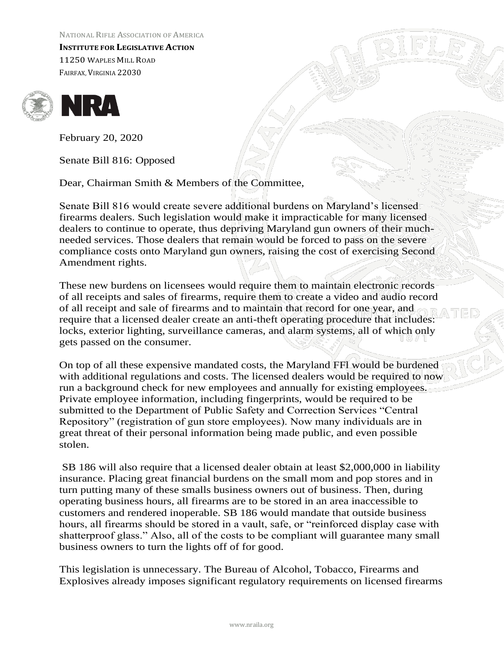NATIONAL RIFLE ASSOCIATION OF AMERICA

**INSTITUTE FOR LEGISLATIVE ACTION**  11250 WAPLES MILL ROAD FAIRFAX, VIRGINIA 22030





February 20, 2020

Senate Bill 816: Opposed

Dear, Chairman Smith & Members of the Committee,

Senate Bill 816 would create severe additional burdens on Maryland's licensed firearms dealers. Such legislation would make it impracticable for many licensed dealers to continue to operate, thus depriving Maryland gun owners of their muchneeded services. Those dealers that remain would be forced to pass on the severe compliance costs onto Maryland gun owners, raising the cost of exercising Second Amendment rights.

These new burdens on licensees would require them to maintain electronic records of all receipts and sales of firearms, require them to create a video and audio record of all receipt and sale of firearms and to maintain that record for one year, and require that a licensed dealer create an anti-theft operating procedure that includes: locks, exterior lighting, surveillance cameras, and alarm systems, all of which only gets passed on the consumer.

On top of all these expensive mandated costs, the Maryland FFl would be burdened with additional regulations and costs. The licensed dealers would be required to now run a background check for new employees and annually for existing employees. Private employee information, including fingerprints, would be required to be submitted to the Department of Public Safety and Correction Services "Central Repository" (registration of gun store employees). Now many individuals are in great threat of their personal information being made public, and even possible stolen.

SB 186 will also require that a licensed dealer obtain at least \$2,000,000 in liability insurance. Placing great financial burdens on the small mom and pop stores and in turn putting many of these smalls business owners out of business. Then, during operating business hours, all firearms are to be stored in an area inaccessible to customers and rendered inoperable. SB 186 would mandate that outside business hours, all firearms should be stored in a vault, safe, or "reinforced display case with shatterproof glass." Also, all of the costs to be compliant will guarantee many small business owners to turn the lights off of for good.

This legislation is unnecessary. The Bureau of Alcohol, Tobacco, Firearms and Explosives already imposes significant regulatory requirements on licensed firearms